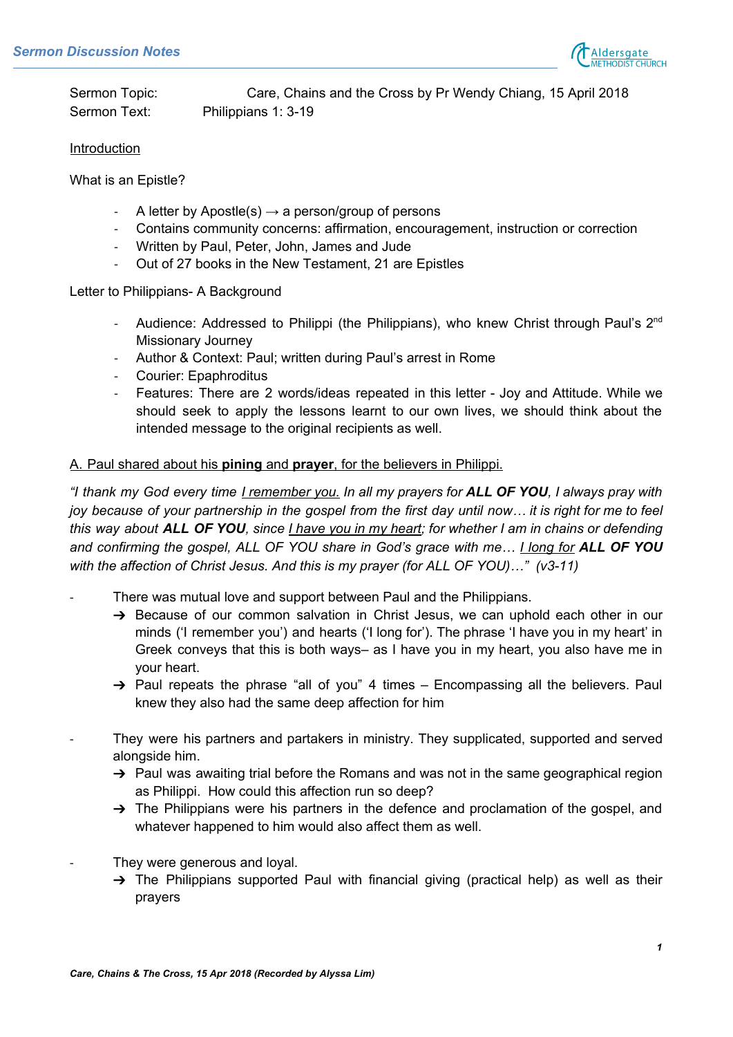

Sermon Topic: Care, Chains and the Cross by Pr Wendy Chiang, 15 April 2018 Sermon Text: Philippians 1: 3-19

## **Introduction**

What is an Epistle?

- A letter by Apostle(s)  $\rightarrow$  a person/group of persons
- Contains community concerns: affirmation, encouragement, instruction or correction
- Written by Paul, Peter, John, James and Jude
- Out of 27 books in the New Testament, 21 are Epistles

Letter to Philippians- A Background

- Audience: Addressed to Philippi (the Philippians), who knew Christ through Paul's 2<sup>nd</sup> Missionary Journey
- Author & Context: Paul; written during Paul's arrest in Rome
- Courier: Epaphroditus
- Features: There are 2 words/ideas repeated in this letter Joy and Attitude. While we should seek to apply the lessons learnt to our own lives, we should think about the intended message to the original recipients as well.

## A. Paul shared about his **pining** and **prayer**, for the believers in Philippi.

"I thank my God every time <u>I remember you.</u> In all my prayers for **ALL OF YOU**, I always pray with joy because of your partnership in the gospel from the first day until now... it is right for me to feel this way about ALL OF YOU, since *I have you in my heart; for whether I am in chains or defending and confirming the gospel, ALL OF YOU share in God's grace with me… I long for ALL OF YOU with the affection of Christ Jesus. And this is my prayer (for ALL OF YOU)…" (v3-11)*

- There was mutual love and support between Paul and the Philippians.
	- → Because of our common salvation in Christ Jesus, we can uphold each other in our minds ('I remember you') and hearts ('I long for'). The phrase 'I have you in my heart' in Greek conveys that this is both ways– as I have you in my heart, you also have me in your heart.
	- $\rightarrow$  Paul repeats the phrase "all of you" 4 times Encompassing all the believers. Paul knew they also had the same deep affection for him
- They were his partners and partakers in ministry. They supplicated, supported and served alongside him.
	- $\rightarrow$  Paul was awaiting trial before the Romans and was not in the same geographical region as Philippi. How could this affection run so deep?
	- $\rightarrow$  The Philippians were his partners in the defence and proclamation of the gospel, and whatever happened to him would also affect them as well.
- They were generous and loyal.
	- $\rightarrow$  The Philippians supported Paul with financial giving (practical help) as well as their prayers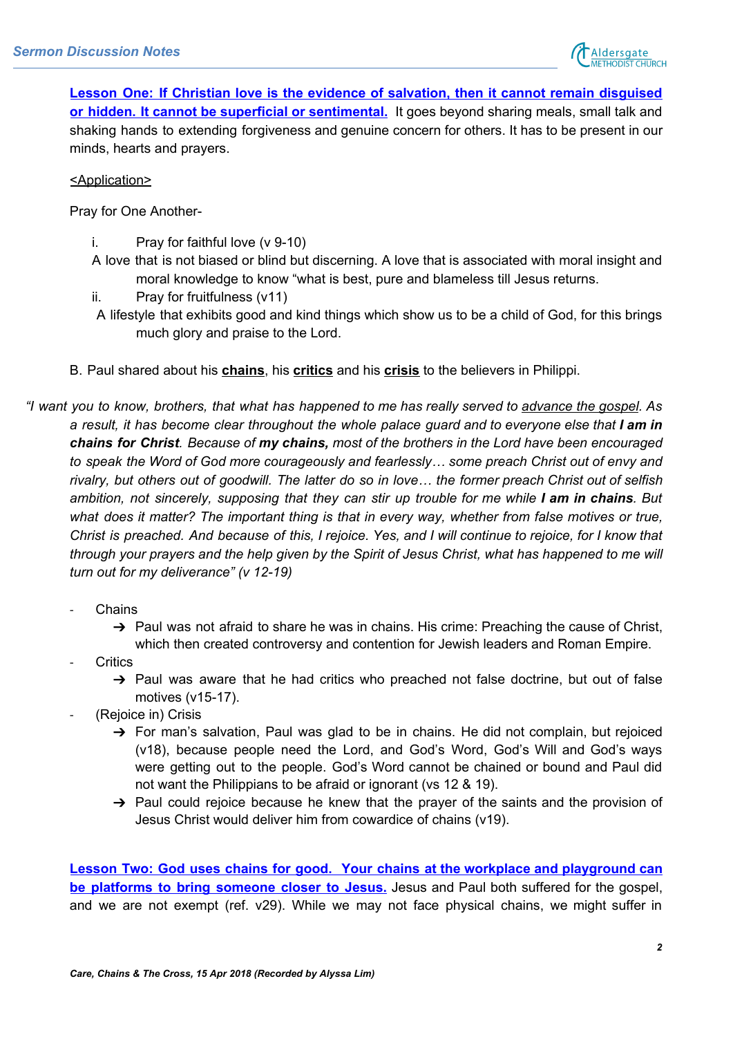

**Lesson One: If Christian love is the evidence of salvation, then it cannot remain disguised or hidden. It cannot be superficial or sentimental.** It goes beyond sharing meals, small talk and shaking hands to extending forgiveness and genuine concern for others. It has to be present in our minds, hearts and prayers.

<Application>

Pray for One Another-

- i. Pray for faithful love (v 9-10)
- A love that is not biased or blind but discerning. A love that is associated with moral insight and moral knowledge to know "what is best, pure and blameless till Jesus returns.
- ii. Pray for fruitfulness (v11)
- A lifestyle that exhibits good and kind things which show us to be a child of God, for this brings much glory and praise to the Lord.
- B. Paul shared about his **chains**, his **critics** and his **crisis** to the believers in Philippi.
- "I want you to know, brothers, that what has happened to me has really served to advance the gospel. As a result, it has become clear throughout the whole palace guard and to everyone else that I am in *chains for Christ. Because of my chains, most of the brothers in the Lord have been encouraged to speak the Word of God more courageously and fearlessly… some preach Christ out of envy and* rivalry, but others out of goodwill. The latter do so in love... the former preach Christ out of selfish ambition, not sincerely, supposing that they can stir up trouble for me while I am in chains. But *what does it matter? The important thing is that in every way, whether from false motives or true,* Christ is preached. And because of this, I rejoice. Yes, and I will continue to rejoice, for I know that through your prayers and the help given by the Spirit of Jesus Christ, what has happened to me will *turn out for my deliverance" (v 12-19)*
	- **Chains** 
		- → Paul was not afraid to share he was in chains. His crime: Preaching the cause of Christ, which then created controversy and contention for Jewish leaders and Roman Empire.
	- **Critics** 
		- $\rightarrow$  Paul was aware that he had critics who preached not false doctrine, but out of false motives (v15-17).
	- (Rejoice in) Crisis
		- ➔ For man's salvation, Paul was glad to be in chains. He did not complain, but rejoiced (v18), because people need the Lord, and God's Word, God's Will and God's ways were getting out to the people. God's Word cannot be chained or bound and Paul did not want the Philippians to be afraid or ignorant (vs 12 & 19).
		- $\rightarrow$  Paul could rejoice because he knew that the prayer of the saints and the provision of Jesus Christ would deliver him from cowardice of chains (v19).

**Lesson Two: God uses chains for good. Your chains at the workplace and playground can be platforms to bring someone closer to Jesus.** Jesus and Paul both suffered for the gospel, and we are not exempt (ref. v29). While we may not face physical chains, we might suffer in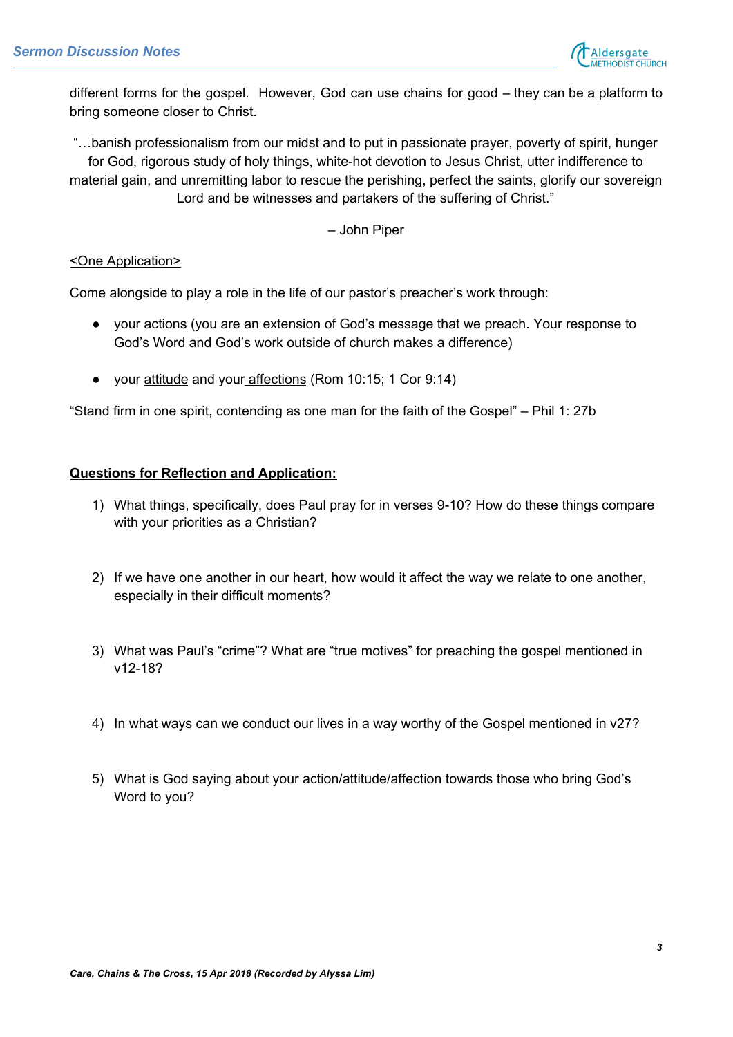

different forms for the gospel. However, God can use chains for good – they can be a platform to bring someone closer to Christ.

"…banish professionalism from our midst and to put in passionate prayer, poverty of spirit, hunger for God, rigorous study of holy things, white-hot devotion to Jesus Christ, utter indifference to material gain, and unremitting labor to rescue the perishing, perfect the saints, glorify our sovereign Lord and be witnesses and partakers of the suffering of Christ."

– John Piper

## <One Application>

Come alongside to play a role in the life of our pastor's preacher's work through:

- your actions (you are an extension of God's message that we preach. Your response to God's Word and God's work outside of church makes a difference)
- your attitude and your affections (Rom 10:15; 1 Cor 9:14)

"Stand firm in one spirit, contending as one man for the faith of the Gospel" – Phil 1: 27b

## **Questions for Reflection and Application:**

- 1) What things, specifically, does Paul pray for in verses 9-10? How do these things compare with your priorities as a Christian?
- 2) If we have one another in our heart, how would it affect the way we relate to one another, especially in their difficult moments?
- 3) What was Paul's "crime"? What are "true motives" for preaching the gospel mentioned in v12-18?
- 4) In what ways can we conduct our lives in a way worthy of the Gospel mentioned in v27?
- 5) What is God saying about your action/attitude/affection towards those who bring God's Word to you?